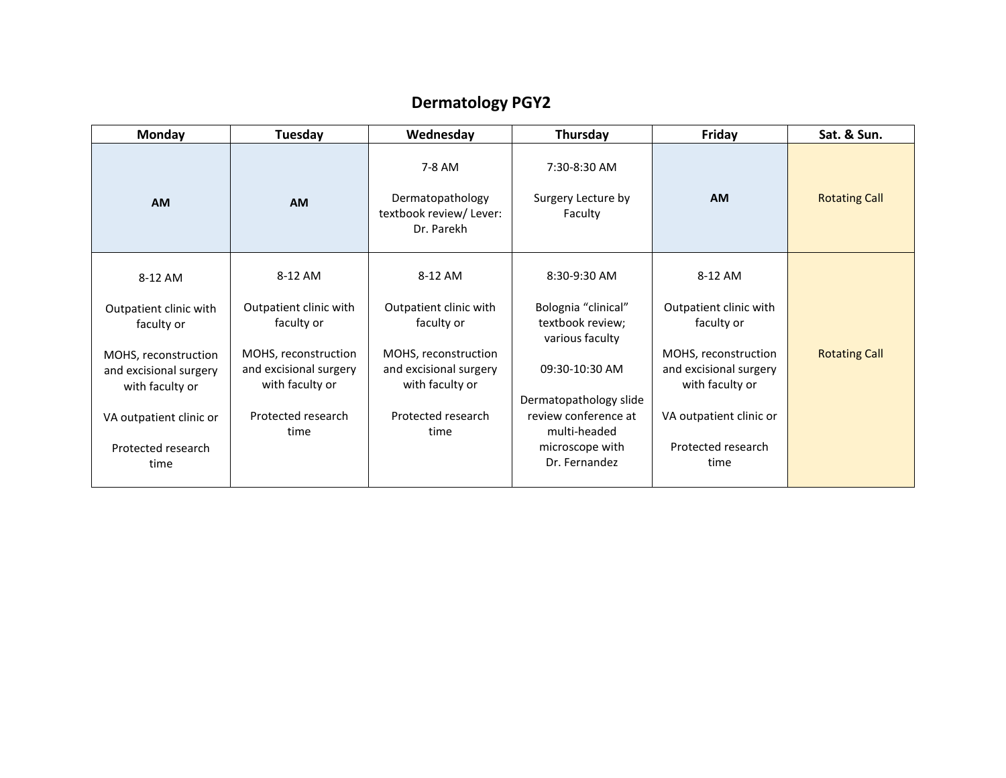## **Dermatology PGY2**

| Monday                                                            | Tuesday                                                           | Wednesday                                                           | Thursday                                                   | Friday                                                            | Sat. & Sun.          |
|-------------------------------------------------------------------|-------------------------------------------------------------------|---------------------------------------------------------------------|------------------------------------------------------------|-------------------------------------------------------------------|----------------------|
| <b>AM</b>                                                         | AM                                                                | 7-8 AM<br>Dermatopathology<br>textbook review/ Lever:<br>Dr. Parekh | 7:30-8:30 AM<br>Surgery Lecture by<br>Faculty              | <b>AM</b>                                                         | <b>Rotating Call</b> |
| 8-12 AM                                                           | 8-12 AM                                                           | 8-12 AM                                                             | 8:30-9:30 AM                                               | 8-12 AM                                                           |                      |
| Outpatient clinic with<br>faculty or                              | Outpatient clinic with<br>faculty or                              | Outpatient clinic with<br>faculty or                                | Bolognia "clinical"<br>textbook review;<br>various faculty | Outpatient clinic with<br>faculty or                              |                      |
| MOHS, reconstruction<br>and excisional surgery<br>with faculty or | MOHS, reconstruction<br>and excisional surgery<br>with faculty or | MOHS, reconstruction<br>and excisional surgery<br>with faculty or   | 09:30-10:30 AM<br>Dermatopathology slide                   | MOHS, reconstruction<br>and excisional surgery<br>with faculty or | <b>Rotating Call</b> |
| VA outpatient clinic or                                           | Protected research<br>time                                        | Protected research<br>time                                          | review conference at<br>multi-headed                       | VA outpatient clinic or                                           |                      |
| Protected research<br>time                                        |                                                                   |                                                                     | microscope with<br>Dr. Fernandez                           | Protected research<br>time                                        |                      |
|                                                                   |                                                                   |                                                                     |                                                            |                                                                   |                      |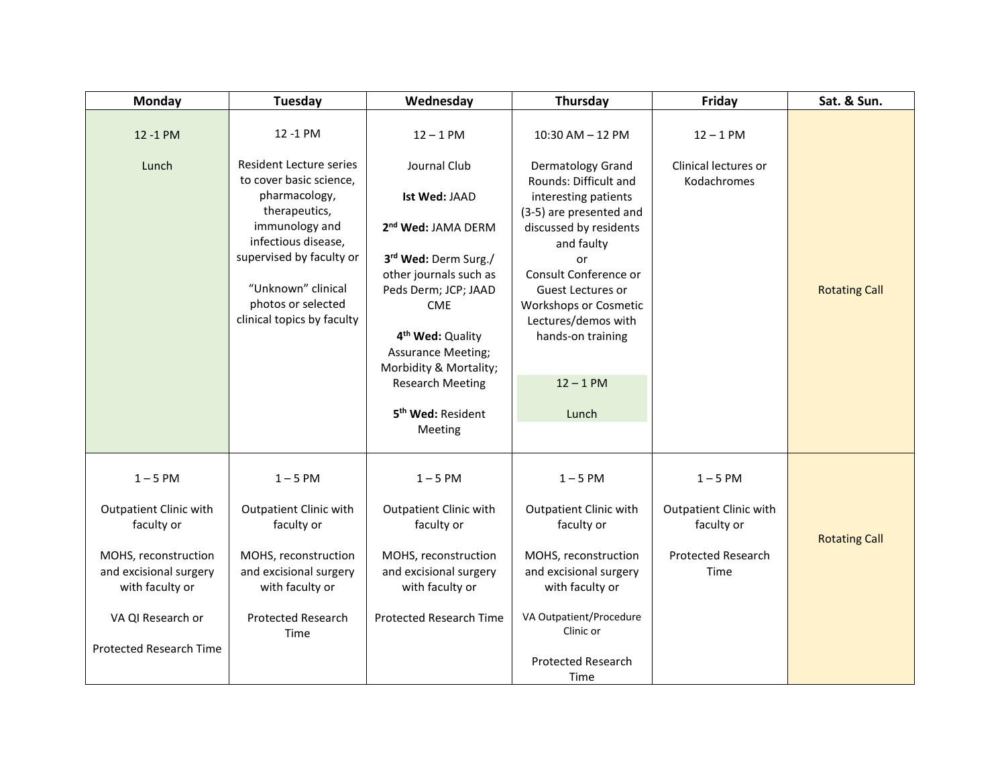| <b>Monday</b>                                                     | Tuesday                                                                                                                              | Wednesday                                                                                                                                                                   | Thursday                                                                                                                              | Friday                               | Sat. & Sun.          |
|-------------------------------------------------------------------|--------------------------------------------------------------------------------------------------------------------------------------|-----------------------------------------------------------------------------------------------------------------------------------------------------------------------------|---------------------------------------------------------------------------------------------------------------------------------------|--------------------------------------|----------------------|
| 12 -1 PM                                                          | 12 -1 PM                                                                                                                             | $12 - 1$ PM                                                                                                                                                                 | 10:30 AM - 12 PM                                                                                                                      | $12 - 1$ PM                          |                      |
| Lunch                                                             | <b>Resident Lecture series</b><br>to cover basic science,<br>pharmacology,<br>therapeutics,<br>immunology and<br>infectious disease, | Journal Club<br>Ist Wed: JAAD<br>2 <sup>nd</sup> Wed: JAMA DERM                                                                                                             | Dermatology Grand<br>Rounds: Difficult and<br>interesting patients<br>(3-5) are presented and<br>discussed by residents<br>and faulty | Clinical lectures or<br>Kodachromes  |                      |
|                                                                   | supervised by faculty or<br>"Unknown" clinical<br>photos or selected<br>clinical topics by faculty                                   | 3rd Wed: Derm Surg./<br>other journals such as<br>Peds Derm; JCP; JAAD<br><b>CME</b><br>4 <sup>th</sup> Wed: Quality<br><b>Assurance Meeting;</b><br>Morbidity & Mortality; | or<br>Consult Conference or<br>Guest Lectures or<br><b>Workshops or Cosmetic</b><br>Lectures/demos with<br>hands-on training          |                                      | <b>Rotating Call</b> |
|                                                                   |                                                                                                                                      | <b>Research Meeting</b><br>5 <sup>th</sup> Wed: Resident<br>Meeting                                                                                                         | $12 - 1$ PM<br>Lunch                                                                                                                  |                                      |                      |
| $1 - 5$ PM                                                        | $1 - 5$ PM                                                                                                                           | $1 - 5$ PM                                                                                                                                                                  | $1 - 5$ PM                                                                                                                            | $1 - 5$ PM                           |                      |
| <b>Outpatient Clinic with</b><br>faculty or                       | Outpatient Clinic with<br>faculty or                                                                                                 | Outpatient Clinic with<br>faculty or                                                                                                                                        | <b>Outpatient Clinic with</b><br>faculty or                                                                                           | Outpatient Clinic with<br>faculty or | <b>Rotating Call</b> |
| MOHS, reconstruction<br>and excisional surgery<br>with faculty or | MOHS, reconstruction<br>and excisional surgery<br>with faculty or                                                                    | MOHS, reconstruction<br>and excisional surgery<br>with faculty or                                                                                                           | MOHS, reconstruction<br>and excisional surgery<br>with faculty or                                                                     | <b>Protected Research</b><br>Time    |                      |
| VA QI Research or                                                 | <b>Protected Research</b><br>Time                                                                                                    | <b>Protected Research Time</b>                                                                                                                                              | VA Outpatient/Procedure<br>Clinic or                                                                                                  |                                      |                      |
| <b>Protected Research Time</b>                                    |                                                                                                                                      |                                                                                                                                                                             | Protected Research<br>Time                                                                                                            |                                      |                      |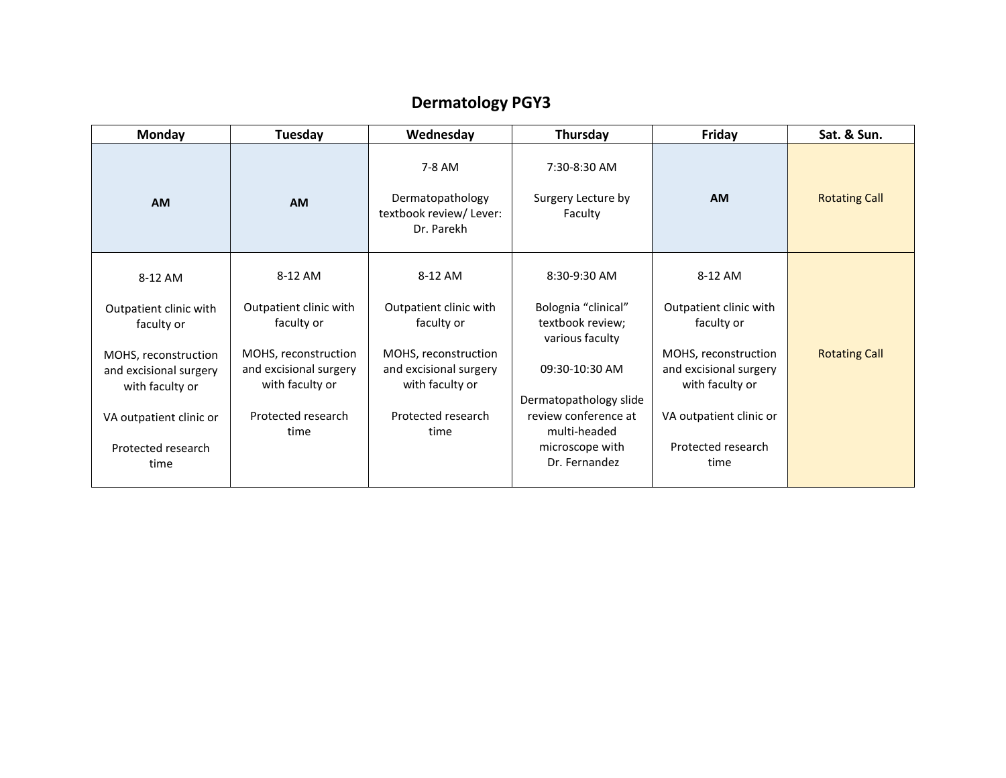## **Dermatology PGY3**

| Monday                                                            | Tuesday                                                           | Wednesday                                                           | Thursday                                                   | Friday                                                            | Sat. & Sun.          |
|-------------------------------------------------------------------|-------------------------------------------------------------------|---------------------------------------------------------------------|------------------------------------------------------------|-------------------------------------------------------------------|----------------------|
| <b>AM</b>                                                         | AM                                                                | 7-8 AM<br>Dermatopathology<br>textbook review/ Lever:<br>Dr. Parekh | 7:30-8:30 AM<br>Surgery Lecture by<br>Faculty              | <b>AM</b>                                                         | <b>Rotating Call</b> |
| 8-12 AM                                                           | 8-12 AM                                                           | 8-12 AM                                                             | 8:30-9:30 AM                                               | 8-12 AM                                                           |                      |
| Outpatient clinic with<br>faculty or                              | Outpatient clinic with<br>faculty or                              | Outpatient clinic with<br>faculty or                                | Bolognia "clinical"<br>textbook review;<br>various faculty | Outpatient clinic with<br>faculty or                              |                      |
| MOHS, reconstruction<br>and excisional surgery<br>with faculty or | MOHS, reconstruction<br>and excisional surgery<br>with faculty or | MOHS, reconstruction<br>and excisional surgery<br>with faculty or   | 09:30-10:30 AM<br>Dermatopathology slide                   | MOHS, reconstruction<br>and excisional surgery<br>with faculty or | <b>Rotating Call</b> |
| VA outpatient clinic or                                           | Protected research<br>time                                        | Protected research<br>time                                          | review conference at<br>multi-headed                       | VA outpatient clinic or                                           |                      |
| Protected research<br>time                                        |                                                                   |                                                                     | microscope with<br>Dr. Fernandez                           | Protected research<br>time                                        |                      |
|                                                                   |                                                                   |                                                                     |                                                            |                                                                   |                      |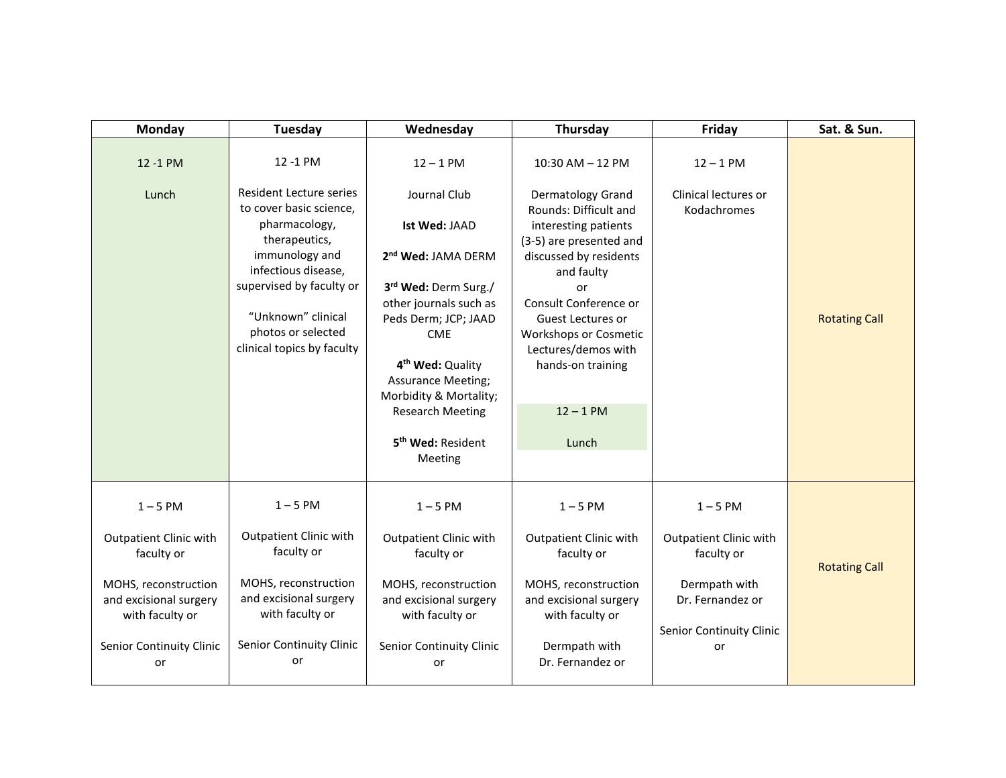| <b>Monday</b>                                                                                                                                             | Tuesday                                                                                                                                                                                                                                                | Wednesday                                                                                                                                                                                                                                                                                                                | Thursday                                                                                                                                                                                                                                                                                                              | Friday                                                                                                                           | Sat. & Sun.          |
|-----------------------------------------------------------------------------------------------------------------------------------------------------------|--------------------------------------------------------------------------------------------------------------------------------------------------------------------------------------------------------------------------------------------------------|--------------------------------------------------------------------------------------------------------------------------------------------------------------------------------------------------------------------------------------------------------------------------------------------------------------------------|-----------------------------------------------------------------------------------------------------------------------------------------------------------------------------------------------------------------------------------------------------------------------------------------------------------------------|----------------------------------------------------------------------------------------------------------------------------------|----------------------|
| 12 -1 PM<br>Lunch                                                                                                                                         | 12 -1 PM<br><b>Resident Lecture series</b><br>to cover basic science,<br>pharmacology,<br>therapeutics,<br>immunology and<br>infectious disease,<br>supervised by faculty or<br>"Unknown" clinical<br>photos or selected<br>clinical topics by faculty | $12 - 1$ PM<br>Journal Club<br>Ist Wed: JAAD<br>2nd Wed: JAMA DERM<br>3rd Wed: Derm Surg./<br>other journals such as<br>Peds Derm; JCP; JAAD<br><b>CME</b><br>4 <sup>th</sup> Wed: Quality<br><b>Assurance Meeting;</b><br>Morbidity & Mortality;<br><b>Research Meeting</b><br>5 <sup>th</sup> Wed: Resident<br>Meeting | $10:30$ AM $- 12$ PM<br>Dermatology Grand<br>Rounds: Difficult and<br>interesting patients<br>(3-5) are presented and<br>discussed by residents<br>and faulty<br>or<br>Consult Conference or<br>Guest Lectures or<br><b>Workshops or Cosmetic</b><br>Lectures/demos with<br>hands-on training<br>$12 - 1$ PM<br>Lunch | $12 - 1$ PM<br>Clinical lectures or<br>Kodachromes                                                                               | <b>Rotating Call</b> |
| $1 - 5$ PM<br>Outpatient Clinic with<br>faculty or<br>MOHS, reconstruction<br>and excisional surgery<br>with faculty or<br>Senior Continuity Clinic<br>or | $1 - 5$ PM<br><b>Outpatient Clinic with</b><br>faculty or<br>MOHS, reconstruction<br>and excisional surgery<br>with faculty or<br>Senior Continuity Clinic<br>or                                                                                       | $1 - 5$ PM<br><b>Outpatient Clinic with</b><br>faculty or<br>MOHS, reconstruction<br>and excisional surgery<br>with faculty or<br>Senior Continuity Clinic<br>or                                                                                                                                                         | $1 - 5$ PM<br><b>Outpatient Clinic with</b><br>faculty or<br>MOHS, reconstruction<br>and excisional surgery<br>with faculty or<br>Dermpath with<br>Dr. Fernandez or                                                                                                                                                   | $1 - 5$ PM<br><b>Outpatient Clinic with</b><br>faculty or<br>Dermpath with<br>Dr. Fernandez or<br>Senior Continuity Clinic<br>or | <b>Rotating Call</b> |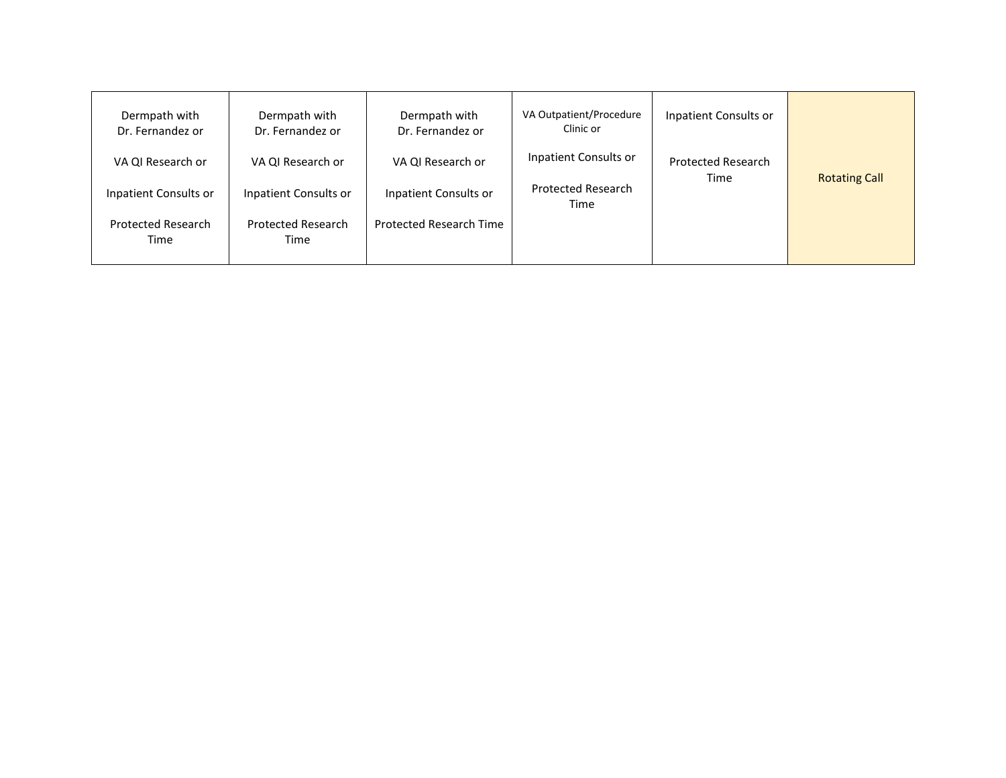| Dermpath with<br>Dr. Fernandez or | Dermpath with<br>Dr. Fernandez or | Dermpath with<br>Dr. Fernandez or | VA Outpatient/Procedure<br>Clinic or | Inpatient Consults or     |                      |
|-----------------------------------|-----------------------------------|-----------------------------------|--------------------------------------|---------------------------|----------------------|
| VA QI Research or                 | VA QI Research or                 | VA QI Research or                 | Inpatient Consults or                | <b>Protected Research</b> |                      |
| Inpatient Consults or             | Inpatient Consults or             | Inpatient Consults or             | <b>Protected Research</b><br>Time    | Time                      | <b>Rotating Call</b> |
| <b>Protected Research</b><br>Time | Protected Research<br>Time        | Protected Research Time           |                                      |                           |                      |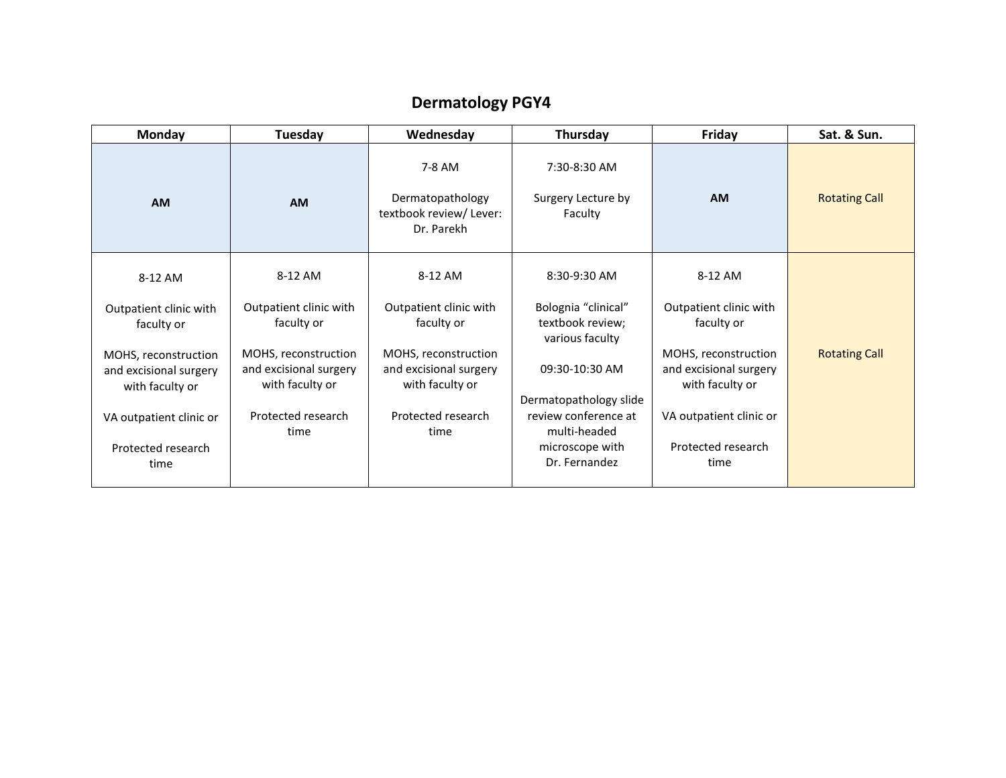## **Dermatology PGY4**

| Monday                                                            | Tuesday                                                           | Wednesday                                                           | Thursday                                                   | Friday                                                            | Sat. & Sun.          |
|-------------------------------------------------------------------|-------------------------------------------------------------------|---------------------------------------------------------------------|------------------------------------------------------------|-------------------------------------------------------------------|----------------------|
| <b>AM</b>                                                         | AM                                                                | 7-8 AM<br>Dermatopathology<br>textbook review/ Lever:<br>Dr. Parekh | 7:30-8:30 AM<br>Surgery Lecture by<br>Faculty              | <b>AM</b>                                                         | <b>Rotating Call</b> |
| 8-12 AM                                                           | 8-12 AM                                                           | 8-12 AM                                                             | 8:30-9:30 AM                                               | 8-12 AM                                                           |                      |
| Outpatient clinic with<br>faculty or                              | Outpatient clinic with<br>faculty or                              | Outpatient clinic with<br>faculty or                                | Bolognia "clinical"<br>textbook review;<br>various faculty | Outpatient clinic with<br>faculty or                              |                      |
| MOHS, reconstruction<br>and excisional surgery<br>with faculty or | MOHS, reconstruction<br>and excisional surgery<br>with faculty or | MOHS, reconstruction<br>and excisional surgery<br>with faculty or   | 09:30-10:30 AM<br>Dermatopathology slide                   | MOHS, reconstruction<br>and excisional surgery<br>with faculty or | <b>Rotating Call</b> |
| VA outpatient clinic or                                           | Protected research<br>time                                        | Protected research<br>time                                          | review conference at<br>multi-headed                       | VA outpatient clinic or                                           |                      |
| Protected research<br>time                                        |                                                                   |                                                                     | microscope with<br>Dr. Fernandez                           | Protected research<br>time                                        |                      |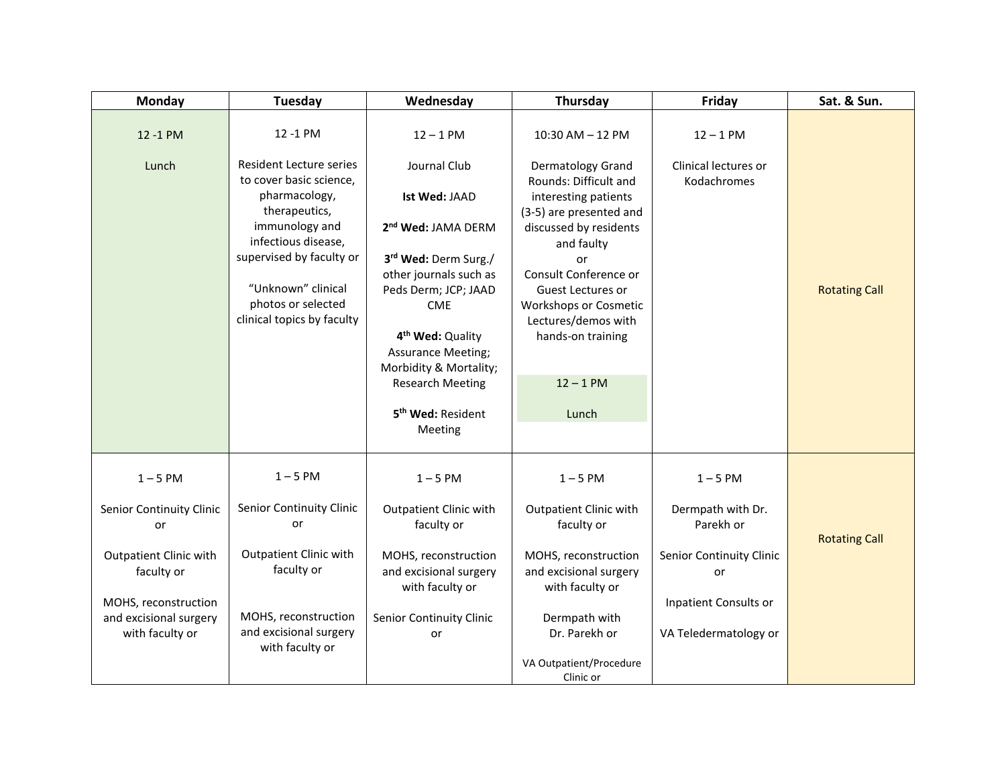| Monday                                    | Tuesday                                                   | Wednesday                                         | Thursday                                        | Friday                              | Sat. & Sun.          |
|-------------------------------------------|-----------------------------------------------------------|---------------------------------------------------|-------------------------------------------------|-------------------------------------|----------------------|
| 12 -1 PM                                  | 12 -1 PM                                                  | $12 - 1$ PM                                       | 10:30 AM - 12 PM                                | $12 - 1$ PM                         |                      |
| Lunch                                     | <b>Resident Lecture series</b><br>to cover basic science, | Journal Club                                      | Dermatology Grand<br>Rounds: Difficult and      | Clinical lectures or<br>Kodachromes |                      |
|                                           | pharmacology,<br>therapeutics,                            | Ist Wed: JAAD                                     | interesting patients<br>(3-5) are presented and |                                     |                      |
|                                           | immunology and<br>infectious disease,                     | 2 <sup>nd</sup> Wed: JAMA DERM                    | discussed by residents                          |                                     |                      |
|                                           | supervised by faculty or                                  | 3rd Wed: Derm Surg./                              | and faulty<br>or                                |                                     |                      |
|                                           | "Unknown" clinical                                        | other journals such as<br>Peds Derm; JCP; JAAD    | Consult Conference or<br>Guest Lectures or      |                                     | <b>Rotating Call</b> |
|                                           | photos or selected                                        | <b>CME</b>                                        | <b>Workshops or Cosmetic</b>                    |                                     |                      |
|                                           | clinical topics by faculty                                | 4 <sup>th</sup> Wed: Quality                      | Lectures/demos with<br>hands-on training        |                                     |                      |
|                                           |                                                           | <b>Assurance Meeting;</b>                         |                                                 |                                     |                      |
|                                           |                                                           | Morbidity & Mortality;<br><b>Research Meeting</b> | $12 - 1$ PM                                     |                                     |                      |
|                                           |                                                           | 5 <sup>th</sup> Wed: Resident                     | Lunch                                           |                                     |                      |
|                                           |                                                           | Meeting                                           |                                                 |                                     |                      |
| $1 - 5$ PM                                | $1 - 5$ PM                                                | $1 - 5$ PM                                        | $1 - 5$ PM                                      | $1 - 5$ PM                          |                      |
| Senior Continuity Clinic<br>or            | Senior Continuity Clinic<br>or                            | <b>Outpatient Clinic with</b><br>faculty or       | <b>Outpatient Clinic with</b><br>faculty or     | Dermpath with Dr.<br>Parekh or      |                      |
| Outpatient Clinic with                    | <b>Outpatient Clinic with</b>                             | MOHS, reconstruction                              | MOHS, reconstruction                            | Senior Continuity Clinic            | <b>Rotating Call</b> |
| faculty or                                | faculty or                                                | and excisional surgery                            | and excisional surgery                          | or                                  |                      |
| MOHS, reconstruction                      |                                                           | with faculty or                                   | with faculty or                                 | Inpatient Consults or               |                      |
| and excisional surgery<br>with faculty or | MOHS, reconstruction<br>and excisional surgery            | Senior Continuity Clinic<br>or                    | Dermpath with<br>Dr. Parekh or                  | VA Teledermatology or               |                      |
|                                           | with faculty or                                           |                                                   | VA Outpatient/Procedure                         |                                     |                      |
|                                           |                                                           |                                                   | Clinic or                                       |                                     |                      |